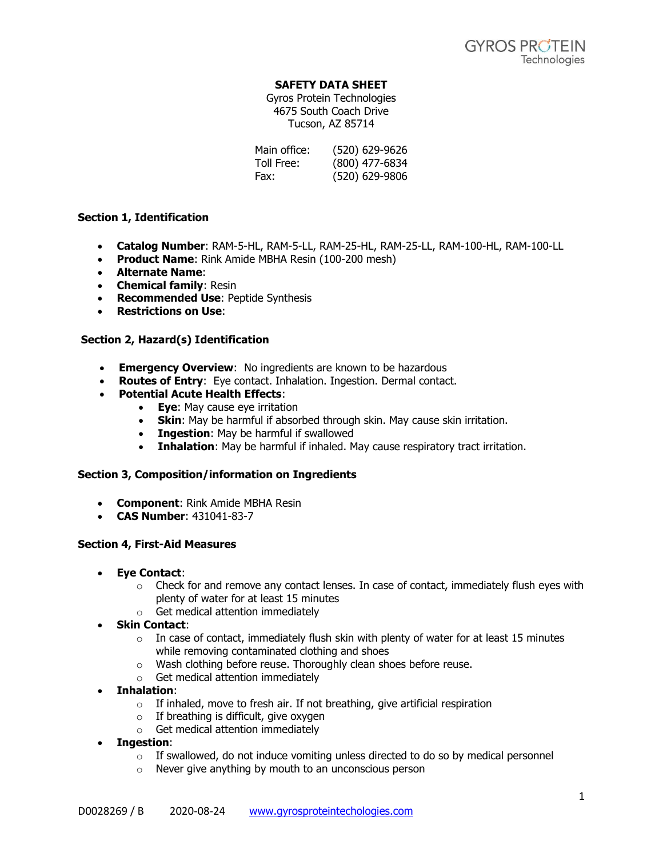## **SAFETY DATA SHEET**

Gyros Protein Technologies 4675 South Coach Drive Tucson, AZ 85714

| Main office: | (520) 629-9626 |
|--------------|----------------|
| Toll Free:   | (800) 477-6834 |
| Fax:         | (520) 629-9806 |

## **Section 1, Identification**

- **Catalog Number**: RAM-5-HL, RAM-5-LL, RAM-25-HL, RAM-25-LL, RAM-100-HL, RAM-100-LL
- **Product Name**: Rink Amide MBHA Resin (100-200 mesh)
- **Alternate Name**:
- **Chemical family**: Resin
- **Recommended Use**: Peptide Synthesis
- **Restrictions on Use**:

# **Section 2, Hazard(s) Identification**

- **Emergency Overview**: No ingredients are known to be hazardous
- **Routes of Entry**: Eye contact. Inhalation. Ingestion. Dermal contact.
- **Potential Acute Health Effects**:
	- **Eye**: May cause eye irritation
		- **Skin**: May be harmful if absorbed through skin. May cause skin irritation.
		- **Ingestion**: May be harmful if swallowed
		- **Inhalation**: May be harmful if inhaled. May cause respiratory tract irritation.

## **Section 3, Composition/information on Ingredients**

- **Component**: Rink Amide MBHA Resin
- **CAS Number**: 431041-83-7

## **Section 4, First-Aid Measures**

- **Eye Contact**:
	- $\circ$  Check for and remove any contact lenses. In case of contact, immediately flush eyes with plenty of water for at least 15 minutes
	- o Get medical attention immediately
- **Skin Contact**:
	- $\circ$  In case of contact, immediately flush skin with plenty of water for at least 15 minutes while removing contaminated clothing and shoes
	- o Wash clothing before reuse. Thoroughly clean shoes before reuse.
	- o Get medical attention immediately
- **Inhalation**:
	- $\circ$  If inhaled, move to fresh air. If not breathing, give artificial respiration
	- $\circ$  If breathing is difficult, give oxygen
	- o Get medical attention immediately
- **Ingestion**:
	- $\circ$  If swallowed, do not induce vomiting unless directed to do so by medical personnel
	- o Never give anything by mouth to an unconscious person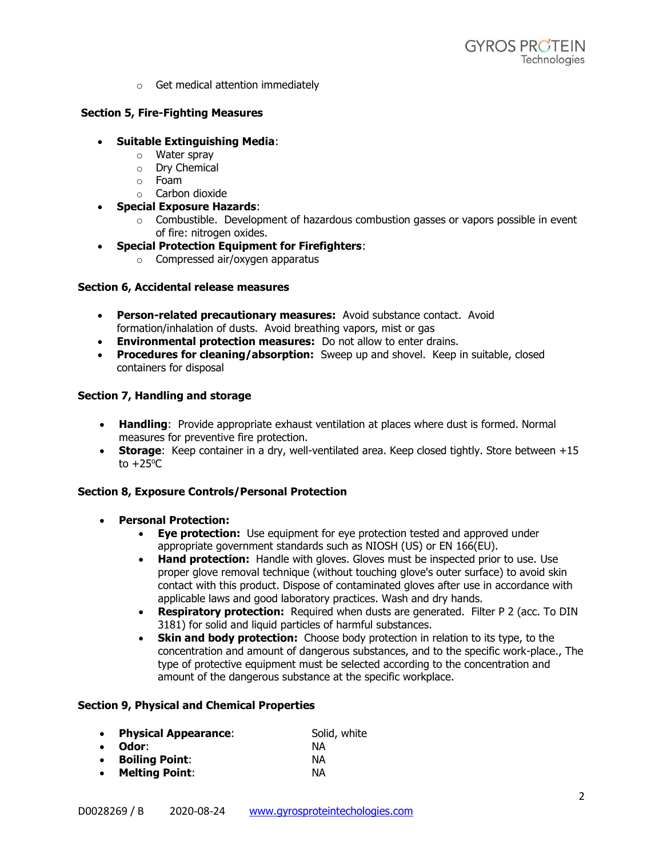o Get medical attention immediately

# **Section 5, Fire-Fighting Measures**

- **Suitable Extinguishing Media**:
	- o Water spray
	- o Dry Chemical
	- o Foam
	- o Carbon dioxide
- **Special Exposure Hazards**:
	- $\circ$  Combustible. Development of hazardous combustion gasses or vapors possible in event of fire: nitrogen oxides.
- **Special Protection Equipment for Firefighters**:
	- o Compressed air/oxygen apparatus

#### **Section 6, Accidental release measures**

- **Person-related precautionary measures:** Avoid substance contact. Avoid formation/inhalation of dusts. Avoid breathing vapors, mist or gas
- **Environmental protection measures:** Do not allow to enter drains.
- **Procedures for cleaning/absorption:** Sweep up and shovel. Keep in suitable, closed containers for disposal

## **Section 7, Handling and storage**

- **Handling**: Provide appropriate exhaust ventilation at places where dust is formed. Normal measures for preventive fire protection.
- **Storage:** Keep container in a dry, well-ventilated area. Keep closed tightly. Store between +15 to  $+25^{\circ}$ C

## **Section 8, Exposure Controls/Personal Protection**

- **Personal Protection:**
	- **Eye protection:** Use equipment for eye protection tested and approved under appropriate government standards such as NIOSH (US) or EN 166(EU).
	- **Hand protection:** Handle with gloves. Gloves must be inspected prior to use. Use proper glove removal technique (without touching glove's outer surface) to avoid skin contact with this product. Dispose of contaminated gloves after use in accordance with applicable laws and good laboratory practices. Wash and dry hands.
	- **Respiratory protection:** Required when dusts are generated. Filter P 2 (acc. To DIN 3181) for solid and liquid particles of harmful substances.
	- **Skin and body protection:** Choose body protection in relation to its type, to the concentration and amount of dangerous substances, and to the specific work-place., The type of protective equipment must be selected according to the concentration and amount of the dangerous substance at the specific workplace.

## **Section 9, Physical and Chemical Properties**

| $\bullet$ | <b>Physical Appearance:</b> | Solid, white |
|-----------|-----------------------------|--------------|
| $\bullet$ | Odor:                       | NА           |
|           | <b>Boiling Point:</b>       | NА           |
|           | <b>Melting Point:</b>       | NА           |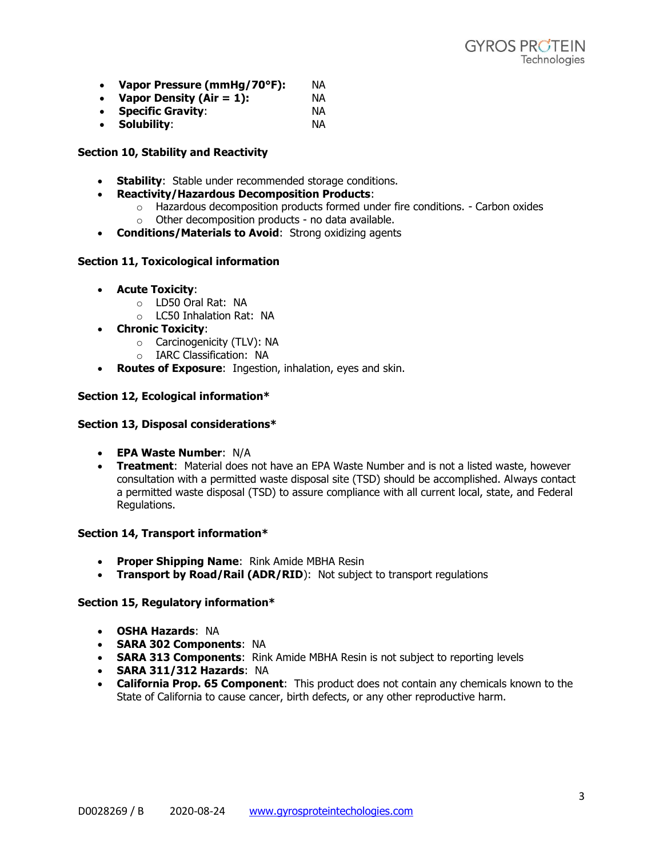- **Vapor Pressure (mmHg/70°F):** NA
- **Vapor Density (Air = 1):** NA
- **Specific Gravity**: NA
- **Solubility**: NA

#### **Section 10, Stability and Reactivity**

- **Stability**: Stable under recommended storage conditions.
- **Reactivity/Hazardous Decomposition Products**:
	- $\circ$  Hazardous decomposition products formed under fire conditions. Carbon oxides
	- o Other decomposition products no data available.
- **Conditions/Materials to Avoid**: Strong oxidizing agents

## **Section 11, Toxicological information**

- **Acute Toxicity**:
	- o LD50 Oral Rat: NA
	- o LC50 Inhalation Rat: NA
- **Chronic Toxicity**:
	- o Carcinogenicity (TLV): NA
	- o IARC Classification: NA
- **Routes of Exposure**: Ingestion, inhalation, eyes and skin.

## **Section 12, Ecological information\***

#### **Section 13, Disposal considerations\***

- **EPA Waste Number**: N/A
- **Treatment**: Material does not have an EPA Waste Number and is not a listed waste, however consultation with a permitted waste disposal site (TSD) should be accomplished. Always contact a permitted waste disposal (TSD) to assure compliance with all current local, state, and Federal Regulations.

#### **Section 14, Transport information\***

- **Proper Shipping Name**: Rink Amide MBHA Resin
- **Transport by Road/Rail (ADR/RID**): Not subject to transport regulations

#### **Section 15, Regulatory information\***

- **OSHA Hazards**: NA
- **SARA 302 Components**: NA
- **SARA 313 Components**: Rink Amide MBHA Resin is not subject to reporting levels
- **SARA 311/312 Hazards**: NA
- **California Prop. 65 Component**: This product does not contain any chemicals known to the State of California to cause cancer, birth defects, or any other reproductive harm.